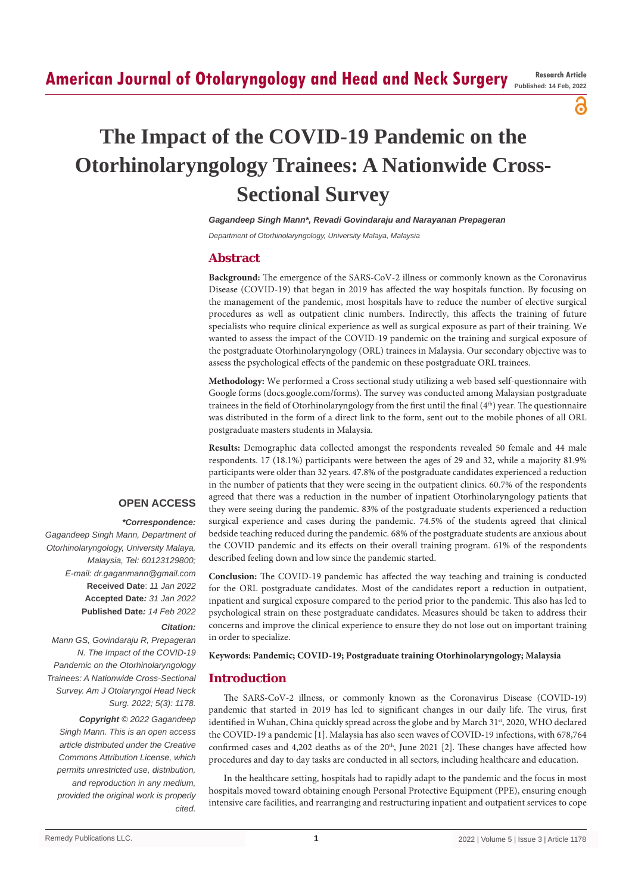# **American Journal of Otolaryngology and Head and Neck Surgery Research Article**

**Published: 14 Feb, 2022**

# ႕

# **The Impact of the COVID-19 Pandemic on the Otorhinolaryngology Trainees: A Nationwide Cross-Sectional Survey**

*Gagandeep Singh Mann\*, Revadi Govindaraju and Narayanan Prepageran*

*Department of Otorhinolaryngology, University Malaya, Malaysia*

# **Abstract**

**Background:** The emergence of the SARS-CoV-2 illness or commonly known as the Coronavirus Disease (COVID-19) that began in 2019 has affected the way hospitals function. By focusing on the management of the pandemic, most hospitals have to reduce the number of elective surgical procedures as well as outpatient clinic numbers. Indirectly, this affects the training of future specialists who require clinical experience as well as surgical exposure as part of their training. We wanted to assess the impact of the COVID-19 pandemic on the training and surgical exposure of the postgraduate Otorhinolaryngology (ORL) trainees in Malaysia. Our secondary objective was to assess the psychological effects of the pandemic on these postgraduate ORL trainees.

**Methodology:** We performed a Cross sectional study utilizing a web based self-questionnaire with Google forms (docs.google.com/forms). The survey was conducted among Malaysian postgraduate trainees in the field of Otorhinolaryngology from the first until the final (4<sup>th</sup>) year. The questionnaire was distributed in the form of a direct link to the form, sent out to the mobile phones of all ORL postgraduate masters students in Malaysia.

**Results:** Demographic data collected amongst the respondents revealed 50 female and 44 male respondents. 17 (18.1%) participants were between the ages of 29 and 32, while a majority 81.9% participants were older than 32 years. 47.8% of the postgraduate candidates experienced a reduction in the number of patients that they were seeing in the outpatient clinics. 60.7% of the respondents agreed that there was a reduction in the number of inpatient Otorhinolaryngology patients that they were seeing during the pandemic. 83% of the postgraduate students experienced a reduction surgical experience and cases during the pandemic. 74.5% of the students agreed that clinical bedside teaching reduced during the pandemic. 68% of the postgraduate students are anxious about the COVID pandemic and its effects on their overall training program. 61% of the respondents described feeling down and low since the pandemic started.

**Conclusion:** The COVID-19 pandemic has affected the way teaching and training is conducted for the ORL postgraduate candidates. Most of the candidates report a reduction in outpatient, inpatient and surgical exposure compared to the period prior to the pandemic. This also has led to psychological strain on these postgraduate candidates. Measures should be taken to address their concerns and improve the clinical experience to ensure they do not lose out on important training in order to specialize.

#### **Keywords: Pandemic; COVID-19; Postgraduate training Otorhinolaryngology; Malaysia**

# **Introduction**

The SARS-CoV-2 illness, or commonly known as the Coronavirus Disease (COVID-19) pandemic that started in 2019 has led to significant changes in our daily life. The virus, first identified in Wuhan, China quickly spread across the globe and by March 31st, 2020, WHO declared the COVID-19 a pandemic [1]. Malaysia has also seen waves of COVID-19 infections, with 678,764 confirmed cases and  $4,202$  deaths as of the  $20<sup>th</sup>$ , June 2021 [2]. These changes have affected how procedures and day to day tasks are conducted in all sectors, including healthcare and education.

In the healthcare setting, hospitals had to rapidly adapt to the pandemic and the focus in most hospitals moved toward obtaining enough Personal Protective Equipment (PPE), ensuring enough intensive care facilities, and rearranging and restructuring inpatient and outpatient services to cope

# **OPEN ACCESS**

#### *\*Correspondence:*

*Gagandeep Singh Mann, Department of Otorhinolaryngology, University Malaya, Malaysia, Tel: 60123129800; E-mail: dr.gaganmann@gmail.com* **Received Date**: *11 Jan 2022* **Accepted Date***: 31 Jan 2022* **Published Date***: 14 Feb 2022*

## *Citation:*

*Mann GS, Govindaraju R, Prepageran N. The Impact of the COVID-19 Pandemic on the Otorhinolaryngology Trainees: A Nationwide Cross-Sectional Survey. Am J Otolaryngol Head Neck Surg. 2022; 5(3): 1178.*

*Copyright © 2022 Gagandeep Singh Mann. This is an open access article distributed under the Creative Commons Attribution License, which permits unrestricted use, distribution, and reproduction in any medium, provided the original work is properly cited.*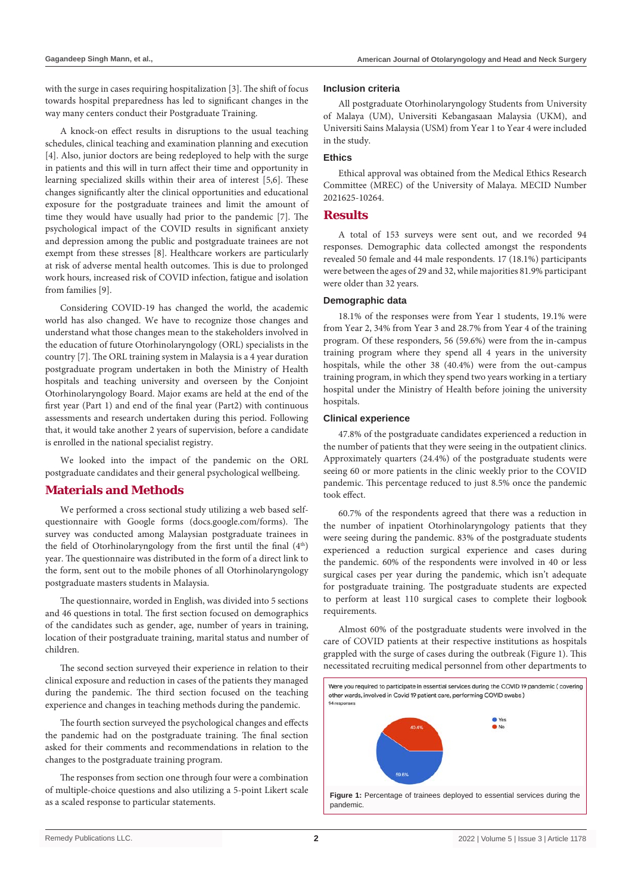with the surge in cases requiring hospitalization [3]. The shift of focus towards hospital preparedness has led to significant changes in the way many centers conduct their Postgraduate Training.

A knock-on effect results in disruptions to the usual teaching schedules, clinical teaching and examination planning and execution [4]. Also, junior doctors are being redeployed to help with the surge in patients and this will in turn affect their time and opportunity in learning specialized skills within their area of interest [5,6]. These changes significantly alter the clinical opportunities and educational exposure for the postgraduate trainees and limit the amount of time they would have usually had prior to the pandemic [7]. The psychological impact of the COVID results in significant anxiety and depression among the public and postgraduate trainees are not exempt from these stresses [8]. Healthcare workers are particularly at risk of adverse mental health outcomes. This is due to prolonged work hours, increased risk of COVID infection, fatigue and isolation from families [9].

Considering COVID-19 has changed the world, the academic world has also changed. We have to recognize those changes and understand what those changes mean to the stakeholders involved in the education of future Otorhinolaryngology (ORL) specialists in the country [7]. The ORL training system in Malaysia is a 4 year duration postgraduate program undertaken in both the Ministry of Health hospitals and teaching university and overseen by the Conjoint Otorhinolaryngology Board. Major exams are held at the end of the first year (Part 1) and end of the final year (Part2) with continuous assessments and research undertaken during this period. Following that, it would take another 2 years of supervision, before a candidate is enrolled in the national specialist registry.

We looked into the impact of the pandemic on the ORL postgraduate candidates and their general psychological wellbeing.

# **Materials and Methods**

We performed a cross sectional study utilizing a web based selfquestionnaire with Google forms (docs.google.com/forms). The survey was conducted among Malaysian postgraduate trainees in the field of Otorhinolaryngology from the first until the final  $(4<sup>th</sup>)$ year. The questionnaire was distributed in the form of a direct link to the form, sent out to the mobile phones of all Otorhinolaryngology postgraduate masters students in Malaysia.

The questionnaire, worded in English, was divided into 5 sections and 46 questions in total. The first section focused on demographics of the candidates such as gender, age, number of years in training, location of their postgraduate training, marital status and number of children.

The second section surveyed their experience in relation to their clinical exposure and reduction in cases of the patients they managed during the pandemic. The third section focused on the teaching experience and changes in teaching methods during the pandemic.

The fourth section surveyed the psychological changes and effects the pandemic had on the postgraduate training. The final section asked for their comments and recommendations in relation to the changes to the postgraduate training program.

The responses from section one through four were a combination of multiple-choice questions and also utilizing a 5-point Likert scale as a scaled response to particular statements.

#### **Inclusion criteria**

All postgraduate Otorhinolaryngology Students from University of Malaya (UM), Universiti Kebangasaan Malaysia (UKM), and Universiti Sains Malaysia (USM) from Year 1 to Year 4 were included in the study.

## **Ethics**

Ethical approval was obtained from the Medical Ethics Research Committee (MREC) of the University of Malaya. MECID Number 2021625-10264.

# **Results**

A total of 153 surveys were sent out, and we recorded 94 responses. Demographic data collected amongst the respondents revealed 50 female and 44 male respondents. 17 (18.1%) participants were between the ages of 29 and 32, while majorities 81.9% participant were older than 32 years.

#### **Demographic data**

18.1% of the responses were from Year 1 students, 19.1% were from Year 2, 34% from Year 3 and 28.7% from Year 4 of the training program. Of these responders, 56 (59.6%) were from the in-campus training program where they spend all 4 years in the university hospitals, while the other 38 (40.4%) were from the out-campus training program, in which they spend two years working in a tertiary hospital under the Ministry of Health before joining the university hospitals.

#### **Clinical experience**

47.8% of the postgraduate candidates experienced a reduction in the number of patients that they were seeing in the outpatient clinics. Approximately quarters (24.4%) of the postgraduate students were seeing 60 or more patients in the clinic weekly prior to the COVID pandemic. This percentage reduced to just 8.5% once the pandemic took effect.

60.7% of the respondents agreed that there was a reduction in the number of inpatient Otorhinolaryngology patients that they were seeing during the pandemic. 83% of the postgraduate students experienced a reduction surgical experience and cases during the pandemic. 60% of the respondents were involved in 40 or less surgical cases per year during the pandemic, which isn't adequate for postgraduate training. The postgraduate students are expected to perform at least 110 surgical cases to complete their logbook requirements.

Almost 60% of the postgraduate students were involved in the care of COVID patients at their respective institutions as hospitals grappled with the surge of cases during the outbreak (Figure 1). This necessitated recruiting medical personnel from other departments to

Were you required to participate in essential services during the COVID 19 pandemic (covering other wards, involved in Covid 19 patient care, performing COVID swabs) 94 response **Figure 1:** Percentage of trainees deployed to essential services during the pandemic.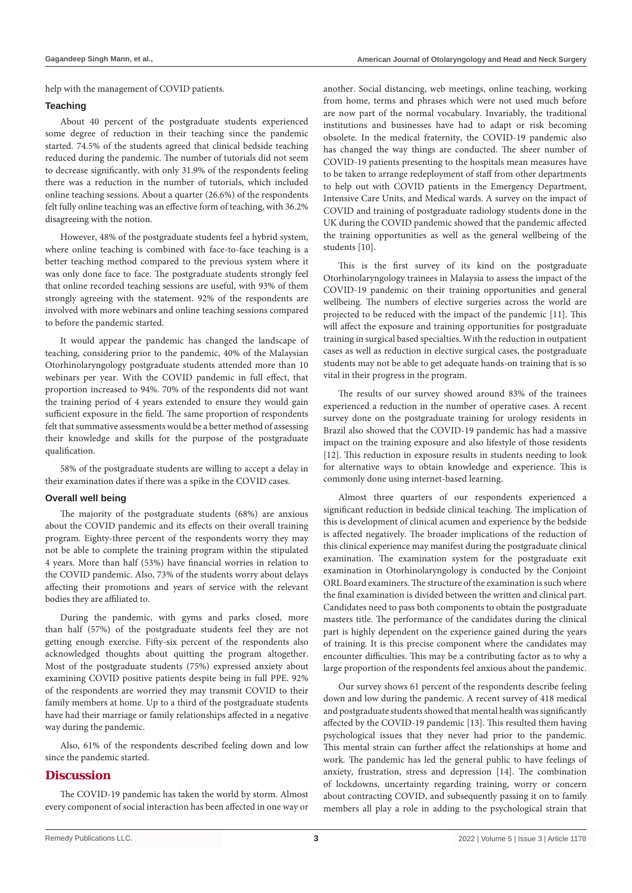help with the management of COVID patients.

#### **Teaching**

About 40 percent of the postgraduate students experienced some degree of reduction in their teaching since the pandemic started. 74.5% of the students agreed that clinical bedside teaching reduced during the pandemic. The number of tutorials did not seem to decrease significantly, with only 31.9% of the respondents feeling there was a reduction in the number of tutorials, which included online teaching sessions. About a quarter (26.6%) of the respondents felt fully online teaching was an effective form of teaching, with 36.2% disagreeing with the notion.

However, 48% of the postgraduate students feel a hybrid system, where online teaching is combined with face-to-face teaching is a better teaching method compared to the previous system where it was only done face to face. The postgraduate students strongly feel that online recorded teaching sessions are useful, with 93% of them strongly agreeing with the statement. 92% of the respondents are involved with more webinars and online teaching sessions compared to before the pandemic started.

It would appear the pandemic has changed the landscape of teaching, considering prior to the pandemic, 40% of the Malaysian Otorhinolaryngology postgraduate students attended more than 10 webinars per year. With the COVID pandemic in full effect, that proportion increased to 94%. 70% of the respondents did not want the training period of 4 years extended to ensure they would gain sufficient exposure in the field. The same proportion of respondents felt that summative assessments would be a better method of assessing their knowledge and skills for the purpose of the postgraduate qualification.

58% of the postgraduate students are willing to accept a delay in their examination dates if there was a spike in the COVID cases.

#### **Overall well being**

The majority of the postgraduate students (68%) are anxious about the COVID pandemic and its effects on their overall training program. Eighty-three percent of the respondents worry they may not be able to complete the training program within the stipulated 4 years. More than half (53%) have financial worries in relation to the COVID pandemic. Also, 73% of the students worry about delays affecting their promotions and years of service with the relevant bodies they are affiliated to.

During the pandemic, with gyms and parks closed, more than half (57%) of the postgraduate students feel they are not getting enough exercise. Fifty-six percent of the respondents also acknowledged thoughts about quitting the program altogether. Most of the postgraduate students (75%) expressed anxiety about examining COVID positive patients despite being in full PPE. 92% of the respondents are worried they may transmit COVID to their family members at home. Up to a third of the postgraduate students have had their marriage or family relationships affected in a negative way during the pandemic.

Also, 61% of the respondents described feeling down and low since the pandemic started.

# **Discussion**

The COVID-19 pandemic has taken the world by storm. Almost every component of social interaction has been affected in one way or another. Social distancing, web meetings, online teaching, working from home, terms and phrases which were not used much before are now part of the normal vocabulary. Invariably, the traditional institutions and businesses have had to adapt or risk becoming obsolete. In the medical fraternity, the COVID-19 pandemic also has changed the way things are conducted. The sheer number of COVID-19 patients presenting to the hospitals mean measures have to be taken to arrange redeployment of staff from other departments to help out with COVID patients in the Emergency Department, Intensive Care Units, and Medical wards. A survey on the impact of COVID and training of postgraduate radiology students done in the UK during the COVID pandemic showed that the pandemic affected the training opportunities as well as the general wellbeing of the students [10].

This is the first survey of its kind on the postgraduate Otorhinolaryngology trainees in Malaysia to assess the impact of the COVID-19 pandemic on their training opportunities and general wellbeing. The numbers of elective surgeries across the world are projected to be reduced with the impact of the pandemic [11]. This will affect the exposure and training opportunities for postgraduate training in surgical based specialties. With the reduction in outpatient cases as well as reduction in elective surgical cases, the postgraduate students may not be able to get adequate hands-on training that is so vital in their progress in the program.

The results of our survey showed around 83% of the trainees experienced a reduction in the number of operative cases. A recent survey done on the postgraduate training for urology residents in Brazil also showed that the COVID-19 pandemic has had a massive impact on the training exposure and also lifestyle of those residents [12]. This reduction in exposure results in students needing to look for alternative ways to obtain knowledge and experience. This is commonly done using internet-based learning.

Almost three quarters of our respondents experienced a significant reduction in bedside clinical teaching. The implication of this is development of clinical acumen and experience by the bedside is affected negatively. The broader implications of the reduction of this clinical experience may manifest during the postgraduate clinical examination. The examination system for the postgraduate exit examination in Otorhinolaryngology is conducted by the Conjoint ORL Board examiners. The structure of the examination is such where the final examination is divided between the written and clinical part. Candidates need to pass both components to obtain the postgraduate masters title. The performance of the candidates during the clinical part is highly dependent on the experience gained during the years of training. It is this precise component where the candidates may encounter difficulties. This may be a contributing factor as to why a large proportion of the respondents feel anxious about the pandemic.

Our survey shows 61 percent of the respondents describe feeling down and low during the pandemic. A recent survey of 418 medical and postgraduate students showed that mental health was significantly affected by the COVID-19 pandemic [13]. This resulted them having psychological issues that they never had prior to the pandemic. This mental strain can further affect the relationships at home and work. The pandemic has led the general public to have feelings of anxiety, frustration, stress and depression [14]. The combination of lockdowns, uncertainty regarding training, worry or concern about contracting COVID, and subsequently passing it on to family members all play a role in adding to the psychological strain that